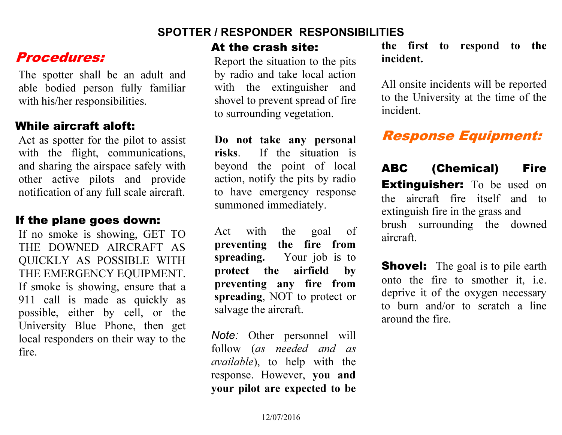## SPOTTER / RESPONDER RESPONSIBILITIES

## Procedures:

The spotter shall be an adult and able bodied person fully familiar with his/her responsibilities.

## While aircraft aloft:

Act as spotter for the pilot to assist with the flight, communications, and sharing the airspace safely with other active pilots and provide notification of any full scale aircraft.

## If the plane goes down:

If no smoke is showing, GET TO THE DOWNED AIRCRAFT AS QUICKLY AS POSSIBLE WITH THE EMERGENCY EQUIPMENT. If smoke is showing, ensure that a 911 call is made as quickly as possible, either by cell, or the University Blue Phone, then get local responders on their way to the fire.

#### At the crash site:

Report the situation to the pits by radio and take local action with the extinguisher and shovel to prevent spread of fire to surrounding vegetation.

Do not take any personal risks. If the situation is beyond the point of local action, notify the pits by radio to have emergency response summoned immediately.

Act with the goal of preventing the fire from spreading. Your job is to protect the airfield by preventing any fire from spreading, NOT to protect or salvage the aircraft.

Note: Other personnel will follow (as needed and as available), to help with the response. However, you and your pilot are expected to be

the first to respond to the incident.

All onsite incidents will be reported to the University at the time of the incident.

# Response Equipment:

ABC (Chemical) Fire **Extinguisher:** To be used on the aircraft fire itself and to extinguish fire in the grass and brush surrounding the downed aircraft.

**Shovel:** The goal is to pile earth onto the fire to smother it, i.e. deprive it of the oxygen necessary to burn and/or to scratch a line around the fire.